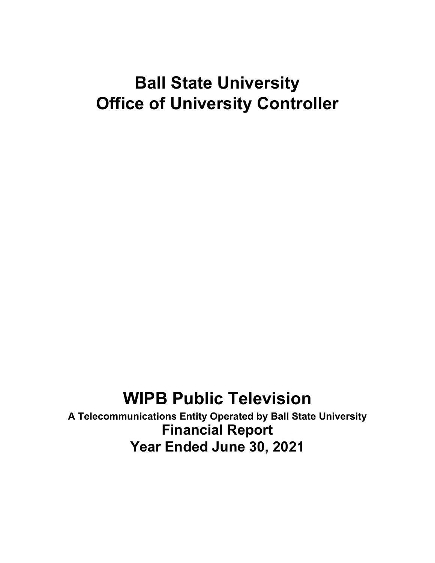# **Ball State University Office of University Controller**

# **WIPB Public Television**

**A Telecommunications Entity Operated by Ball State University Financial Report Year Ended June 30, 2021**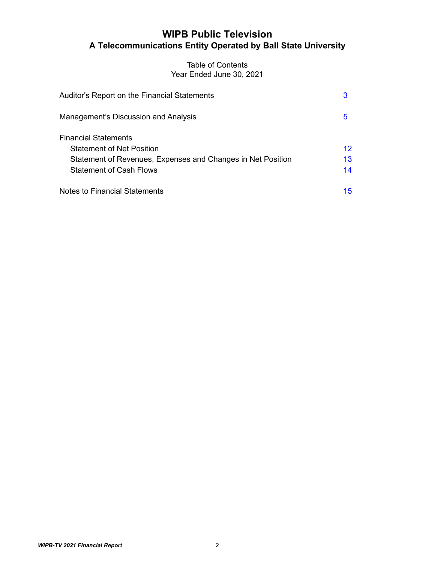# **WIPB Public Television A Telecommunications Entity Operated by Ball State University**

# Table of Contents Year Ended June 30, 2021

| Auditor's Report on the Financial Statements                                                  | 3        |
|-----------------------------------------------------------------------------------------------|----------|
| Management's Discussion and Analysis                                                          | 5        |
| <b>Financial Statements</b><br><b>Statement of Net Position</b>                               | 12       |
| Statement of Revenues, Expenses and Changes in Net Position<br><b>Statement of Cash Flows</b> | 13<br>14 |
| Notes to Financial Statements                                                                 | 15       |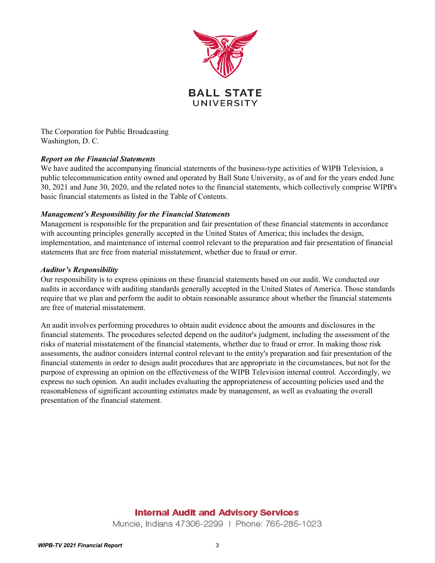

<span id="page-2-0"></span>The Corporation for Public Broadcasting Washington, D. C.

# *Report on the Financial Statements*

We have audited the accompanying financial statements of the business-type activities of WIPB Television, a public telecommunication entity owned and operated by Ball State University, as of and for the years ended June 30, 2021 and June 30, 2020, and the related notes to the financial statements, which collectively comprise WIPB's basic financial statements as listed in the Table of Contents.

## *Management's Responsibility for the Financial Statements*

Management is responsible for the preparation and fair presentation of these financial statements in accordance with accounting principles generally accepted in the United States of America; this includes the design, implementation, and maintenance of internal control relevant to the preparation and fair presentation of financial statements that are free from material misstatement, whether due to fraud or error.

# *Auditor's Responsibility*

Our responsibility is to express opinions on these financial statements based on our audit. We conducted our audits in accordance with auditing standards generally accepted in the United States of America. Those standards require that we plan and perform the audit to obtain reasonable assurance about whether the financial statements are free of material misstatement.

An audit involves performing procedures to obtain audit evidence about the amounts and disclosures in the financial statements. The procedures selected depend on the auditor's judgment, including the assessment of the risks of material misstatement of the financial statements, whether due to fraud or error. In making those risk assessments, the auditor considers internal control relevant to the entity's preparation and fair presentation of the financial statements in order to design audit procedures that are appropriate in the circumstances, but not for the purpose of expressing an opinion on the effectiveness of the WIPB Television internal control. Accordingly, we express no such opinion. An audit includes evaluating the appropriateness of accounting policies used and the reasonableness of significant accounting estimates made by management, as well as evaluating the overall presentation of the financial statement.

# **Internal Audit and Advisory Services**

Muncie, Indiana 47306-2299 | Phone: 765-285-1023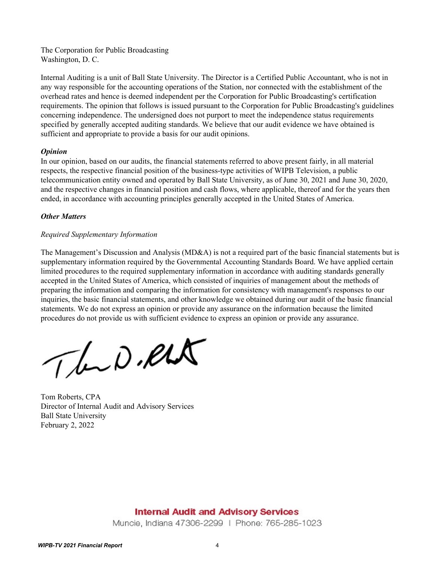The Corporation for Public Broadcasting Washington, D. C.

Internal Auditing is a unit of Ball State University. The Director is a Certified Public Accountant, who is not in any way responsible for the accounting operations of the Station, nor connected with the establishment of the overhead rates and hence is deemed independent per the Corporation for Public Broadcasting's certification requirements. The opinion that follows is issued pursuant to the Corporation for Public Broadcasting's guidelines concerning independence. The undersigned does not purport to meet the independence status requirements specified by generally accepted auditing standards. We believe that our audit evidence we have obtained is sufficient and appropriate to provide a basis for our audit opinions.

## *Opinion*

In our opinion, based on our audits, the financial statements referred to above present fairly, in all material respects, the respective financial position of the business-type activities of WIPB Television, a public telecommunication entity owned and operated by Ball State University, as of June 30, 2021 and June 30, 2020, and the respective changes in financial position and cash flows, where applicable, thereof and for the years then ended, in accordance with accounting principles generally accepted in the United States of America.

# *Other Matters*

# *Required Supplementary Information*

The Management's Discussion and Analysis (MD&A) is not a required part of the basic financial statements but is supplementary information required by the Governmental Accounting Standards Board. We have applied certain limited procedures to the required supplementary information in accordance with auditing standards generally accepted in the United States of America, which consisted of inquiries of management about the methods of preparing the information and comparing the information for consistency with management's responses to our inquiries, the basic financial statements, and other knowledge we obtained during our audit of the basic financial statements. We do not express an opinion or provide any assurance on the information because the limited procedures do not provide us with sufficient evidence to express an opinion or provide any assurance.

The D.RLA

Tom Roberts, CPA Director of Internal Audit and Advisory Services Ball State University February 2, 2022

# **Internal Audit and Advisory Services**

Muncie, Indiana 47306-2299 | Phone: 765-285-1023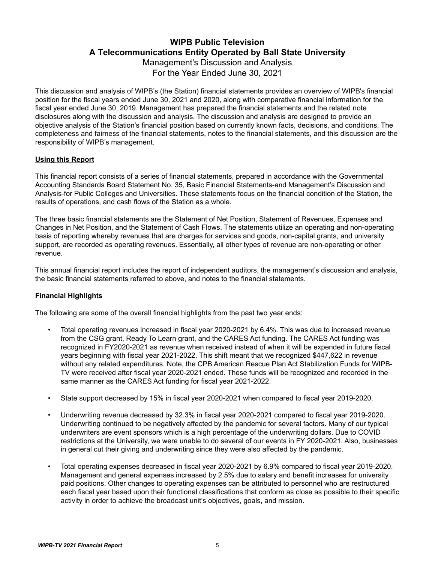# **WIPB Public Television A Telecommunications Entity Operated by Ball State University** Management's Discussion and Analysis

For the Year Ended June 30, 2021

<span id="page-4-0"></span>This discussion and analysis of WIPB's (the Station) financial statements provides an overview of WIPB's financial position for the fiscal years ended June 30, 2021 and 2020, along with comparative financial information for the fiscal year ended June 30, 2019. Management has prepared the financial statements and the related note disclosures along with the discussion and analysis. The discussion and analysis are designed to provide an objective analysis of the Station's financial position based on currently known facts, decisions, and conditions. The completeness and fairness of the financial statements, notes to the financial statements, and this discussion are the responsibility of WIPB's management.

# **Using this Report**

This financial report consists of a series of financial statements, prepared in accordance with the Governmental Accounting Standards Board Statement No. 35, Basic Financial Statements-and Management's Discussion and Analysis-for Public Colleges and Universities. These statements focus on the financial condition of the Station, the results of operations, and cash flows of the Station as a whole.

The three basic financial statements are the Statement of Net Position, Statement of Revenues, Expenses and Changes in Net Position, and the Statement of Cash Flows. The statements utilize an operating and non-operating basis of reporting whereby revenues that are charges for services and goods, non-capital grants, and university support, are recorded as operating revenues. Essentially, all other types of revenue are non-operating or other revenue.

This annual financial report includes the report of independent auditors, the management's discussion and analysis, the basic financial statements referred to above, and notes to the financial statements.

# **Financial Highlights**

The following are some of the overall financial highlights from the past two year ends:

- Total operating revenues increased in fiscal year 2020-2021 by 6.4%. This was due to increased revenue from the CSG grant, Ready To Learn grant, and the CARES Act funding. The CARES Act funding was recognized in FY2020-2021 as revenue when received instead of when it will be expended in future fiscal years beginning with fiscal year 2021-2022. This shift meant that we recognized \$447,622 in revenue without any related expenditures. Note, the CPB American Rescue Plan Act Stabilization Funds for WIPB-TV were received after fiscal year 2020-2021 ended. These funds will be recognized and recorded in the same manner as the CARES Act funding for fiscal year 2021-2022.
- State support decreased by 15% in fiscal year 2020-2021 when compared to fiscal year 2019-2020.
- Underwriting revenue decreased by 32.3% in fiscal year 2020-2021 compared to fiscal year 2019-2020. Underwriting continued to be negatively affected by the pandemic for several factors. Many of our typical underwriters are event sponsors which is a high percentage of the underwriting dollars. Due to COVID restrictions at the University, we were unable to do several of our events in FY 2020-2021. Also, businesses in general cut their giving and underwriting since they were also affected by the pandemic.
- Total operating expenses decreased in fiscal year 2020-2021 by 6.9% compared to fiscal year 2019-2020. Management and general expenses increased by 2.5% due to salary and benefit increases for university paid positions. Other changes to operating expenses can be attributed to personnel who are restructured each fiscal year based upon their functional classifications that conform as close as possible to their specific activity in order to achieve the broadcast unit's objectives, goals, and mission.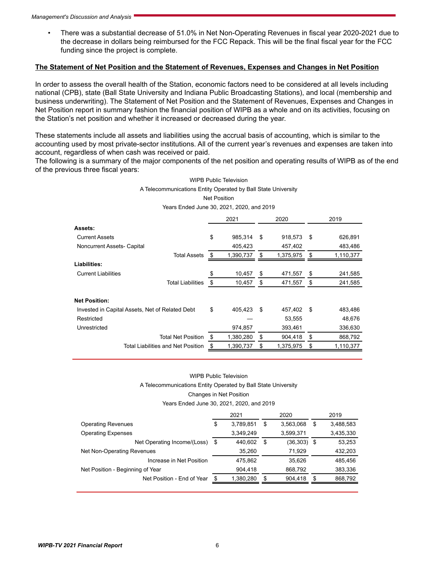• There was a substantial decrease of 51.0% in Net Non-Operating Revenues in fiscal year 2020-2021 due to the decrease in dollars being reimbursed for the FCC Repack. This will be the final fiscal year for the FCC funding since the project is complete.

#### **The Statement of Net Position and the Statement of Revenues, Expenses and Changes in Net Position**

In order to assess the overall health of the Station, economic factors need to be considered at all levels including national (CPB), state (Ball State University and Indiana Public Broadcasting Stations), and local (membership and business underwriting). The Statement of Net Position and the Statement of Revenues, Expenses and Changes in Net Position report in summary fashion the financial position of WIPB as a whole and on its activities, focusing on the Station's net position and whether it increased or decreased during the year.

These statements include all assets and liabilities using the accrual basis of accounting, which is similar to the accounting used by most private-sector institutions. All of the current year's revenues and expenses are taken into account, regardless of when cash was received or paid.

The following is a summary of the major components of the net position and operating results of WIPB as of the end of the previous three fiscal years:

#### WIPB Public Television A Telecommunications Entity Operated by Ball State University Net Position

Years Ended June 30, 2021, 2020, and 2019

|                                                 | 2021 |           | 2020 |           |     | 2019      |
|-------------------------------------------------|------|-----------|------|-----------|-----|-----------|
| Assets:                                         |      |           |      |           |     |           |
| <b>Current Assets</b>                           | \$   | 985,314   | \$   | 918,573   | \$  | 626,891   |
| Noncurrent Assets- Capital                      |      | 405,423   |      | 457,402   |     | 483,486   |
| <b>Total Assets</b>                             | \$   | 1,390,737 | S    | 1,375,975 | \$  | 1,110,377 |
| Liabilities:                                    |      |           |      |           |     |           |
| <b>Current Liabilities</b>                      | \$   | 10,457    | \$   | 471,557   | \$  | 241,585   |
| <b>Total Liabilities</b>                        | \$   | 10,457    | \$   | 471,557   | \$  | 241,585   |
| <b>Net Position:</b>                            |      |           |      |           |     |           |
| Invested in Capital Assets, Net of Related Debt | \$   | 405,423   | \$   | 457,402   | -\$ | 483,486   |
| Restricted                                      |      |           |      | 53,555    |     | 48,676    |
| Unrestricted                                    |      | 974,857   |      | 393,461   |     | 336,630   |
| <b>Total Net Position</b>                       | \$   | 1,380,280 | \$   | 904,418   | \$  | 868,792   |
| <b>Total Liabilities and Net Position</b>       | \$   | 1,390,737 | \$   | 1,375,975 | \$  | 1,110,377 |

#### WIPB Public Television

A Telecommunications Entity Operated by Ball State University

Changes in Net Position

#### Years Ended June 30, 2021, 2020, and 2019

|                                  |     | 2021      | 2020 |           |     | 2019      |
|----------------------------------|-----|-----------|------|-----------|-----|-----------|
| <b>Operating Revenues</b>        | \$  | 3,789,851 | \$   | 3,563,068 | S   | 3,488,583 |
| <b>Operating Expenses</b>        |     | 3,349,249 |      | 3,599,371 |     | 3,435,330 |
| Net Operating Income/(Loss)      | -\$ | 440.602   | S    | (36, 303) | - 5 | 53,253    |
| Net Non-Operating Revenues       |     | 35.260    |      | 71.929    |     | 432,203   |
| Increase in Net Position         |     | 475.862   |      | 35.626    |     | 485.456   |
| Net Position - Beginning of Year |     | 904.418   |      | 868,792   |     | 383,336   |
| Net Position - End of Year       |     | 1,380,280 | S    | 904.418   |     | 868,792   |
|                                  |     |           |      |           |     |           |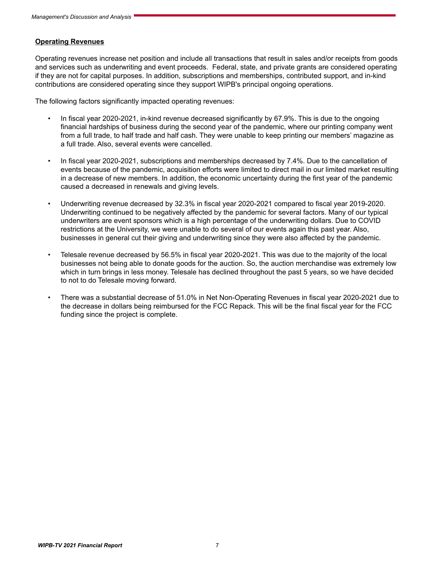#### **Operating Revenues**

Operating revenues increase net position and include all transactions that result in sales and/or receipts from goods and services such as underwriting and event proceeds. Federal, state, and private grants are considered operating if they are not for capital purposes. In addition, subscriptions and memberships, contributed support, and in-kind contributions are considered operating since they support WIPB's principal ongoing operations.

The following factors significantly impacted operating revenues:

- In fiscal year 2020-2021, in-kind revenue decreased significantly by 67.9%. This is due to the ongoing financial hardships of business during the second year of the pandemic, where our printing company went from a full trade, to half trade and half cash. They were unable to keep printing our members' magazine as a full trade. Also, several events were cancelled.
- In fiscal year 2020-2021, subscriptions and memberships decreased by 7.4%. Due to the cancellation of events because of the pandemic, acquisition efforts were limited to direct mail in our limited market resulting in a decrease of new members. In addition, the economic uncertainty during the first year of the pandemic caused a decreased in renewals and giving levels.
- Underwriting revenue decreased by 32.3% in fiscal year 2020-2021 compared to fiscal year 2019-2020. Underwriting continued to be negatively affected by the pandemic for several factors. Many of our typical underwriters are event sponsors which is a high percentage of the underwriting dollars. Due to COVID restrictions at the University, we were unable to do several of our events again this past year. Also, businesses in general cut their giving and underwriting since they were also affected by the pandemic.
- Telesale revenue decreased by 56.5% in fiscal year 2020-2021. This was due to the majority of the local businesses not being able to donate goods for the auction. So, the auction merchandise was extremely low which in turn brings in less money. Telesale has declined throughout the past 5 years, so we have decided to not to do Telesale moving forward.
- There was a substantial decrease of 51.0% in Net Non-Operating Revenues in fiscal year 2020-2021 due to the decrease in dollars being reimbursed for the FCC Repack. This will be the final fiscal year for the FCC funding since the project is complete.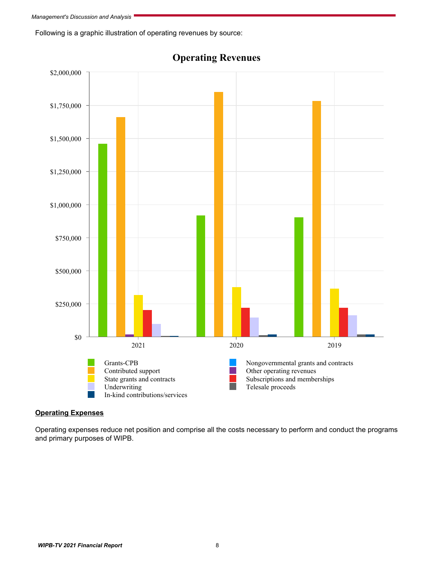Following is a graphic illustration of operating revenues by source:



**Operating Revenues**

# **Operating Expenses**

Operating expenses reduce net position and comprise all the costs necessary to perform and conduct the programs and primary purposes of WIPB.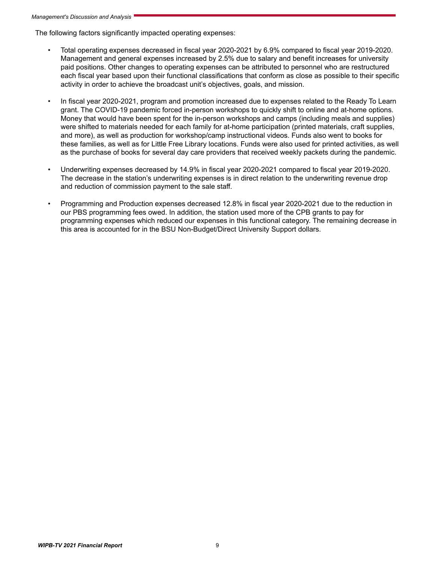The following factors significantly impacted operating expenses:

- Total operating expenses decreased in fiscal year 2020-2021 by 6.9% compared to fiscal year 2019-2020. Management and general expenses increased by 2.5% due to salary and benefit increases for university paid positions. Other changes to operating expenses can be attributed to personnel who are restructured each fiscal year based upon their functional classifications that conform as close as possible to their specific activity in order to achieve the broadcast unit's objectives, goals, and mission.
- In fiscal year 2020-2021, program and promotion increased due to expenses related to the Ready To Learn grant. The COVID-19 pandemic forced in-person workshops to quickly shift to online and at-home options. Money that would have been spent for the in-person workshops and camps (including meals and supplies) were shifted to materials needed for each family for at-home participation (printed materials, craft supplies, and more), as well as production for workshop/camp instructional videos. Funds also went to books for these families, as well as for Little Free Library locations. Funds were also used for printed activities, as well as the purchase of books for several day care providers that received weekly packets during the pandemic.
- Underwriting expenses decreased by 14.9% in fiscal year 2020-2021 compared to fiscal year 2019-2020. The decrease in the station's underwriting expenses is in direct relation to the underwriting revenue drop and reduction of commission payment to the sale staff.
- Programming and Production expenses decreased 12.8% in fiscal year 2020-2021 due to the reduction in our PBS programming fees owed. In addition, the station used more of the CPB grants to pay for programming expenses which reduced our expenses in this functional category. The remaining decrease in this area is accounted for in the BSU Non-Budget/Direct University Support dollars.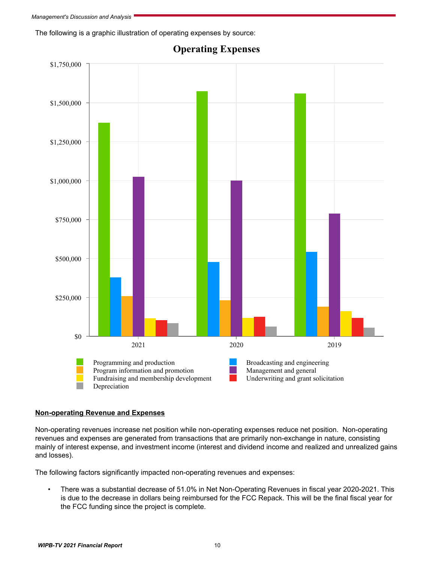The following is a graphic illustration of operating expenses by source:



# **Operating Expenses**

# **Non-operating Revenue and Expenses**

Non-operating revenues increase net position while non-operating expenses reduce net position. Non-operating revenues and expenses are generated from transactions that are primarily non-exchange in nature, consisting mainly of interest expense, and investment income (interest and dividend income and realized and unrealized gains and losses).

The following factors significantly impacted non-operating revenues and expenses:

• There was a substantial decrease of 51.0% in Net Non-Operating Revenues in fiscal year 2020-2021. This is due to the decrease in dollars being reimbursed for the FCC Repack. This will be the final fiscal year for the FCC funding since the project is complete.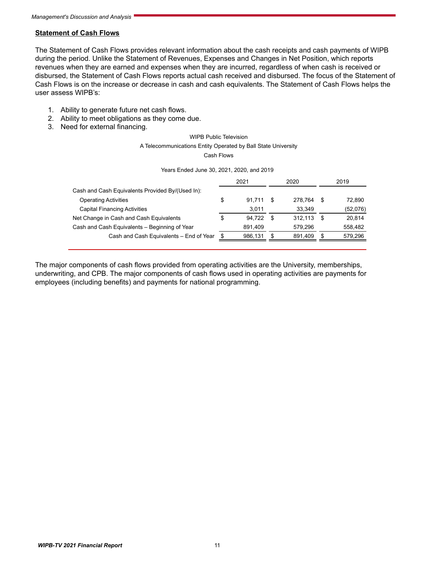## **Statement of Cash Flows**

The Statement of Cash Flows provides relevant information about the cash receipts and cash payments of WIPB during the period. Unlike the Statement of Revenues, Expenses and Changes in Net Position, which reports revenues when they are earned and expenses when they are incurred, regardless of when cash is received or disbursed, the Statement of Cash Flows reports actual cash received and disbursed. The focus of the Statement of Cash Flows is on the increase or decrease in cash and cash equivalents. The Statement of Cash Flows helps the user assess WIPB's:

- 1. Ability to generate future net cash flows.
- 2. Ability to meet obligations as they come due.
- 3. Need for external financing.

#### WIPB Public Television

#### A Telecommunications Entity Operated by Ball State University

Cash Flows

| Years Ended June 30, 2021, 2020, and 2019 |  |  |
|-------------------------------------------|--|--|
|                                           |  |  |

|                                                  | 2021          | 2020    |   | 2019     |
|--------------------------------------------------|---------------|---------|---|----------|
| Cash and Cash Equivalents Provided By/(Used In): |               |         |   |          |
| <b>Operating Activities</b>                      | \$<br>91.711  | 278.764 | S | 72.890   |
| <b>Capital Financing Activities</b>              | 3.011         | 33.349  |   | (52,076) |
| Net Change in Cash and Cash Equivalents          | \$<br>94.722  | 312.113 | S | 20.814   |
| Cash and Cash Equivalents - Beginning of Year    | 891.409       | 579.296 |   | 558,482  |
| Cash and Cash Equivalents - End of Year          | \$<br>986,131 | 891,409 |   | 579,296  |
|                                                  |               |         |   |          |

The major components of cash flows provided from operating activities are the University, memberships, underwriting, and CPB. The major components of cash flows used in operating activities are payments for employees (including benefits) and payments for national programming.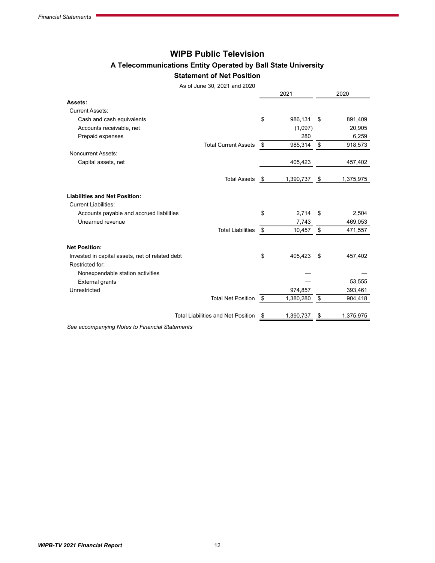# **WIPB Public Television**

# **A Telecommunications Entity Operated by Ball State University**

#### **Statement of Net Position**

As of June 30, 2021 and 2020

<span id="page-11-0"></span>

|                                                                    |      |           | 2020            |
|--------------------------------------------------------------------|------|-----------|-----------------|
| Assets:                                                            |      |           |                 |
| <b>Current Assets:</b>                                             |      |           |                 |
| Cash and cash equivalents                                          | \$   | 986,131   | \$<br>891,409   |
| Accounts receivable, net                                           |      | (1,097)   | 20,905          |
| Prepaid expenses                                                   |      | 280       | 6,259           |
| <b>Total Current Assets</b>                                        | -\$  | 985,314   | \$<br>918,573   |
| Noncurrent Assets:                                                 |      |           |                 |
| Capital assets, net                                                |      | 405,423   | 457,402         |
| <b>Total Assets</b>                                                | - \$ | 1,390,737 | \$<br>1,375,975 |
| <b>Liabilities and Net Position:</b>                               |      |           |                 |
| <b>Current Liabilities:</b>                                        |      |           |                 |
| Accounts payable and accrued liabilities                           | \$   | 2,714     | \$<br>2,504     |
| Unearned revenue                                                   |      | 7,743     | 469,053         |
| <b>Total Liabilities</b>                                           | \$   | 10,457    | \$<br>471,557   |
| <b>Net Position:</b>                                               |      |           |                 |
| Invested in capital assets, net of related debt<br>Restricted for: | \$   | 405,423   | \$<br>457,402   |
| Nonexpendable station activities                                   |      |           |                 |
| <b>External grants</b>                                             |      |           | 53,555          |
| Unrestricted                                                       |      | 974,857   | 393,461         |
| <b>Total Net Position</b>                                          | -\$  | 1,380,280 | \$<br>904,418   |
| <b>Total Liabilities and Net Position</b>                          | \$   | 1,390,737 | \$<br>1,375,975 |

*See accompanying Notes to Financial Statements*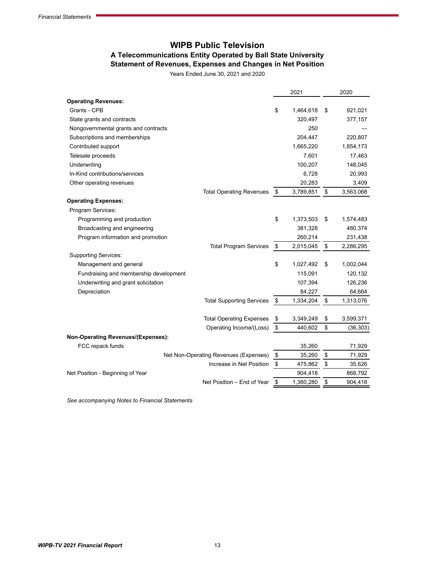# **WIPB Public Television A Telecommunications Entity Operated by Ball State University Statement of Revenues, Expenses and Changes in Net Position**

Years Ended June 30, 2021 and 2020

<span id="page-12-0"></span>

| <b>Operating Revenues:</b><br>Grants - CPB<br>\$<br>1,464,618<br>\$<br>921,021<br>320,497<br>State grants and contracts<br>377,157<br>250<br>Nongovernmental grants and contracts<br>Subscriptions and memberships<br>204,447<br>220,807<br>1,665,220<br>Contributed support<br>1,854,173<br>Telesale proceeds<br>7,601<br>17,463<br>100,207<br>Underwriting<br>148,045<br>In-Kind contributions/services<br>6,728<br>20,993<br>20,283<br>3,409<br>Other operating revenues<br>\$<br>\$<br><b>Total Operating Revenues</b><br>3,789,851<br>3,563,068<br><b>Operating Expenses:</b><br>Program Services:<br>\$<br>Programming and production<br>\$<br>1,373,503<br>1,574,483<br>381,328<br>Broadcasting and engineering<br>480,374<br>Program information and promotion<br>260,214<br>231,438<br>\$<br>\$<br><b>Total Program Services</b><br>2,015,045<br>2,286,295<br><b>Supporting Services:</b><br>\$<br>\$<br>Management and general<br>1,027,492<br>1,002,044<br>Fundraising and membership development<br>115,091<br>120,132<br>Underwriting and grant solicitation<br>107,394<br>126,236<br>Depreciation<br>84,227<br>64,664<br>\$<br><b>Total Supporting Services</b><br>\$<br>1,334,204<br>1,313,076<br>\$<br>\$<br><b>Total Operating Expenses</b><br>3,349,249<br>3,599,371<br>\$<br>Operating Income/(Loss)<br>\$<br>440,602<br>(36, 303)<br><b>Non-Operating Revenues/(Expenses):</b><br>FCC repack funds<br>35,260<br>71,929<br>\$<br>\$<br>Net Non-Operating Revenues (Expenses)<br>35,260<br>71,929<br>$\boldsymbol{\mathsf{\$}}$<br>\$<br>Increase in Net Position<br>475,862<br>35,626<br>Net Position - Beginning of Year<br>904,418<br>868,792<br>\$<br>\$<br>Net Position - End of Year<br>1,380,280<br>904,418 |  | 2021 | 2020 |
|--------------------------------------------------------------------------------------------------------------------------------------------------------------------------------------------------------------------------------------------------------------------------------------------------------------------------------------------------------------------------------------------------------------------------------------------------------------------------------------------------------------------------------------------------------------------------------------------------------------------------------------------------------------------------------------------------------------------------------------------------------------------------------------------------------------------------------------------------------------------------------------------------------------------------------------------------------------------------------------------------------------------------------------------------------------------------------------------------------------------------------------------------------------------------------------------------------------------------------------------------------------------------------------------------------------------------------------------------------------------------------------------------------------------------------------------------------------------------------------------------------------------------------------------------------------------------------------------------------------------------------------------------------------------------------------------------------------------------------------|--|------|------|
|                                                                                                                                                                                                                                                                                                                                                                                                                                                                                                                                                                                                                                                                                                                                                                                                                                                                                                                                                                                                                                                                                                                                                                                                                                                                                                                                                                                                                                                                                                                                                                                                                                                                                                                                      |  |      |      |
|                                                                                                                                                                                                                                                                                                                                                                                                                                                                                                                                                                                                                                                                                                                                                                                                                                                                                                                                                                                                                                                                                                                                                                                                                                                                                                                                                                                                                                                                                                                                                                                                                                                                                                                                      |  |      |      |
|                                                                                                                                                                                                                                                                                                                                                                                                                                                                                                                                                                                                                                                                                                                                                                                                                                                                                                                                                                                                                                                                                                                                                                                                                                                                                                                                                                                                                                                                                                                                                                                                                                                                                                                                      |  |      |      |
|                                                                                                                                                                                                                                                                                                                                                                                                                                                                                                                                                                                                                                                                                                                                                                                                                                                                                                                                                                                                                                                                                                                                                                                                                                                                                                                                                                                                                                                                                                                                                                                                                                                                                                                                      |  |      |      |
|                                                                                                                                                                                                                                                                                                                                                                                                                                                                                                                                                                                                                                                                                                                                                                                                                                                                                                                                                                                                                                                                                                                                                                                                                                                                                                                                                                                                                                                                                                                                                                                                                                                                                                                                      |  |      |      |
|                                                                                                                                                                                                                                                                                                                                                                                                                                                                                                                                                                                                                                                                                                                                                                                                                                                                                                                                                                                                                                                                                                                                                                                                                                                                                                                                                                                                                                                                                                                                                                                                                                                                                                                                      |  |      |      |
|                                                                                                                                                                                                                                                                                                                                                                                                                                                                                                                                                                                                                                                                                                                                                                                                                                                                                                                                                                                                                                                                                                                                                                                                                                                                                                                                                                                                                                                                                                                                                                                                                                                                                                                                      |  |      |      |
|                                                                                                                                                                                                                                                                                                                                                                                                                                                                                                                                                                                                                                                                                                                                                                                                                                                                                                                                                                                                                                                                                                                                                                                                                                                                                                                                                                                                                                                                                                                                                                                                                                                                                                                                      |  |      |      |
|                                                                                                                                                                                                                                                                                                                                                                                                                                                                                                                                                                                                                                                                                                                                                                                                                                                                                                                                                                                                                                                                                                                                                                                                                                                                                                                                                                                                                                                                                                                                                                                                                                                                                                                                      |  |      |      |
|                                                                                                                                                                                                                                                                                                                                                                                                                                                                                                                                                                                                                                                                                                                                                                                                                                                                                                                                                                                                                                                                                                                                                                                                                                                                                                                                                                                                                                                                                                                                                                                                                                                                                                                                      |  |      |      |
|                                                                                                                                                                                                                                                                                                                                                                                                                                                                                                                                                                                                                                                                                                                                                                                                                                                                                                                                                                                                                                                                                                                                                                                                                                                                                                                                                                                                                                                                                                                                                                                                                                                                                                                                      |  |      |      |
|                                                                                                                                                                                                                                                                                                                                                                                                                                                                                                                                                                                                                                                                                                                                                                                                                                                                                                                                                                                                                                                                                                                                                                                                                                                                                                                                                                                                                                                                                                                                                                                                                                                                                                                                      |  |      |      |
|                                                                                                                                                                                                                                                                                                                                                                                                                                                                                                                                                                                                                                                                                                                                                                                                                                                                                                                                                                                                                                                                                                                                                                                                                                                                                                                                                                                                                                                                                                                                                                                                                                                                                                                                      |  |      |      |
|                                                                                                                                                                                                                                                                                                                                                                                                                                                                                                                                                                                                                                                                                                                                                                                                                                                                                                                                                                                                                                                                                                                                                                                                                                                                                                                                                                                                                                                                                                                                                                                                                                                                                                                                      |  |      |      |
|                                                                                                                                                                                                                                                                                                                                                                                                                                                                                                                                                                                                                                                                                                                                                                                                                                                                                                                                                                                                                                                                                                                                                                                                                                                                                                                                                                                                                                                                                                                                                                                                                                                                                                                                      |  |      |      |
|                                                                                                                                                                                                                                                                                                                                                                                                                                                                                                                                                                                                                                                                                                                                                                                                                                                                                                                                                                                                                                                                                                                                                                                                                                                                                                                                                                                                                                                                                                                                                                                                                                                                                                                                      |  |      |      |
|                                                                                                                                                                                                                                                                                                                                                                                                                                                                                                                                                                                                                                                                                                                                                                                                                                                                                                                                                                                                                                                                                                                                                                                                                                                                                                                                                                                                                                                                                                                                                                                                                                                                                                                                      |  |      |      |
|                                                                                                                                                                                                                                                                                                                                                                                                                                                                                                                                                                                                                                                                                                                                                                                                                                                                                                                                                                                                                                                                                                                                                                                                                                                                                                                                                                                                                                                                                                                                                                                                                                                                                                                                      |  |      |      |
|                                                                                                                                                                                                                                                                                                                                                                                                                                                                                                                                                                                                                                                                                                                                                                                                                                                                                                                                                                                                                                                                                                                                                                                                                                                                                                                                                                                                                                                                                                                                                                                                                                                                                                                                      |  |      |      |
|                                                                                                                                                                                                                                                                                                                                                                                                                                                                                                                                                                                                                                                                                                                                                                                                                                                                                                                                                                                                                                                                                                                                                                                                                                                                                                                                                                                                                                                                                                                                                                                                                                                                                                                                      |  |      |      |
|                                                                                                                                                                                                                                                                                                                                                                                                                                                                                                                                                                                                                                                                                                                                                                                                                                                                                                                                                                                                                                                                                                                                                                                                                                                                                                                                                                                                                                                                                                                                                                                                                                                                                                                                      |  |      |      |
|                                                                                                                                                                                                                                                                                                                                                                                                                                                                                                                                                                                                                                                                                                                                                                                                                                                                                                                                                                                                                                                                                                                                                                                                                                                                                                                                                                                                                                                                                                                                                                                                                                                                                                                                      |  |      |      |
|                                                                                                                                                                                                                                                                                                                                                                                                                                                                                                                                                                                                                                                                                                                                                                                                                                                                                                                                                                                                                                                                                                                                                                                                                                                                                                                                                                                                                                                                                                                                                                                                                                                                                                                                      |  |      |      |
|                                                                                                                                                                                                                                                                                                                                                                                                                                                                                                                                                                                                                                                                                                                                                                                                                                                                                                                                                                                                                                                                                                                                                                                                                                                                                                                                                                                                                                                                                                                                                                                                                                                                                                                                      |  |      |      |
|                                                                                                                                                                                                                                                                                                                                                                                                                                                                                                                                                                                                                                                                                                                                                                                                                                                                                                                                                                                                                                                                                                                                                                                                                                                                                                                                                                                                                                                                                                                                                                                                                                                                                                                                      |  |      |      |
|                                                                                                                                                                                                                                                                                                                                                                                                                                                                                                                                                                                                                                                                                                                                                                                                                                                                                                                                                                                                                                                                                                                                                                                                                                                                                                                                                                                                                                                                                                                                                                                                                                                                                                                                      |  |      |      |
|                                                                                                                                                                                                                                                                                                                                                                                                                                                                                                                                                                                                                                                                                                                                                                                                                                                                                                                                                                                                                                                                                                                                                                                                                                                                                                                                                                                                                                                                                                                                                                                                                                                                                                                                      |  |      |      |
|                                                                                                                                                                                                                                                                                                                                                                                                                                                                                                                                                                                                                                                                                                                                                                                                                                                                                                                                                                                                                                                                                                                                                                                                                                                                                                                                                                                                                                                                                                                                                                                                                                                                                                                                      |  |      |      |
|                                                                                                                                                                                                                                                                                                                                                                                                                                                                                                                                                                                                                                                                                                                                                                                                                                                                                                                                                                                                                                                                                                                                                                                                                                                                                                                                                                                                                                                                                                                                                                                                                                                                                                                                      |  |      |      |
|                                                                                                                                                                                                                                                                                                                                                                                                                                                                                                                                                                                                                                                                                                                                                                                                                                                                                                                                                                                                                                                                                                                                                                                                                                                                                                                                                                                                                                                                                                                                                                                                                                                                                                                                      |  |      |      |
|                                                                                                                                                                                                                                                                                                                                                                                                                                                                                                                                                                                                                                                                                                                                                                                                                                                                                                                                                                                                                                                                                                                                                                                                                                                                                                                                                                                                                                                                                                                                                                                                                                                                                                                                      |  |      |      |

*See accompanying Notes to Financial Statements*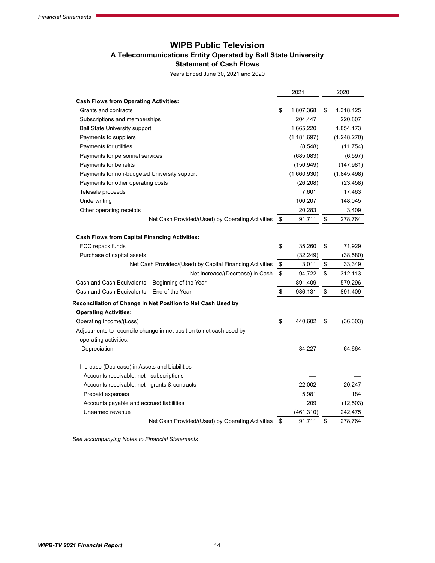# **WIPB Public Television A Telecommunications Entity Operated by Ball State University Statement of Cash Flows**

Years Ended June 30, 2021 and 2020

<span id="page-13-0"></span>

|                                                                     | 2021            | 2020            |
|---------------------------------------------------------------------|-----------------|-----------------|
| <b>Cash Flows from Operating Activities:</b>                        |                 |                 |
| Grants and contracts                                                | \$<br>1,807,368 | \$<br>1,318,425 |
| Subscriptions and memberships                                       | 204,447         | 220,807         |
| <b>Ball State University support</b>                                | 1,665,220       | 1,854,173       |
| Payments to suppliers                                               | (1, 181, 697)   | (1,248,270)     |
| Payments for utilities                                              | (8, 548)        | (11, 754)       |
| Payments for personnel services                                     | (685,083)       | (6, 597)        |
| Payments for benefits                                               | (150, 949)      | (147, 981)      |
| Payments for non-budgeted University support                        | (1,660,930)     | (1,845,498)     |
| Payments for other operating costs                                  | (26, 208)       | (23, 458)       |
| Telesale proceeds                                                   | 7,601           | 17,463          |
| Underwriting                                                        | 100,207         | 148,045         |
| Other operating receipts                                            | 20,283          | 3,409           |
| Net Cash Provided/(Used) by Operating Activities                    | \$<br>91,711    | \$<br>278,764   |
|                                                                     |                 |                 |
| <b>Cash Flows from Capital Financing Activities:</b>                |                 |                 |
| FCC repack funds                                                    | \$<br>35,260    | \$<br>71,929    |
| Purchase of capital assets                                          | (32, 249)       | (38, 580)       |
| Net Cash Provided/(Used) by Capital Financing Activities            | \$<br>3,011     | \$<br>33,349    |
| Net Increase/(Decrease) in Cash                                     | \$<br>94,722    | \$<br>312,113   |
| Cash and Cash Equivalents – Beginning of the Year                   | 891,409         | 579,296         |
| Cash and Cash Equivalents - End of the Year                         | \$<br>986,131   | \$<br>891,409   |
| Reconciliation of Change in Net Position to Net Cash Used by        |                 |                 |
| <b>Operating Activities:</b>                                        |                 |                 |
| Operating Income/(Loss)                                             | \$<br>440,602   | \$<br>(36, 303) |
| Adjustments to reconcile change in net position to net cash used by |                 |                 |
| operating activities:                                               |                 |                 |
| Depreciation                                                        | 84,227          | 64,664          |
| Increase (Decrease) in Assets and Liabilities                       |                 |                 |
| Accounts receivable, net - subscriptions                            |                 |                 |
| Accounts receivable, net - grants & contracts                       | 22,002          | 20,247          |
| Prepaid expenses                                                    | 5,981           | 184             |
| Accounts payable and accrued liabilities                            | 209             | (12, 503)       |
| Unearned revenue                                                    | (461,310)       | 242,475         |
| Net Cash Provided/(Used) by Operating Activities                    | \$<br>91,711    | \$<br>278,764   |
|                                                                     |                 |                 |

*See accompanying Notes to Financial Statements*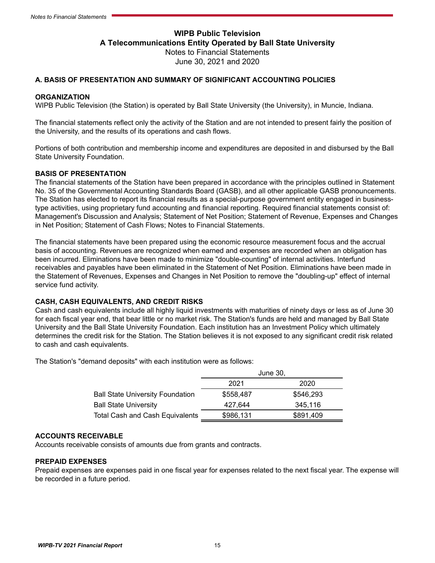# **WIPB Public Television A Telecommunications Entity Operated by Ball State University** Notes to Financial Statements June 30, 2021 and 2020

#### <span id="page-14-0"></span>**A. BASIS OF PRESENTATION AND SUMMARY OF SIGNIFICANT ACCOUNTING POLICIES**

#### **ORGANIZATION**

WIPB Public Television (the Station) is operated by Ball State University (the University), in Muncie, Indiana.

The financial statements reflect only the activity of the Station and are not intended to present fairly the position of the University, and the results of its operations and cash flows.

Portions of both contribution and membership income and expenditures are deposited in and disbursed by the Ball State University Foundation.

#### **BASIS OF PRESENTATION**

The financial statements of the Station have been prepared in accordance with the principles outlined in Statement No. 35 of the Governmental Accounting Standards Board (GASB), and all other applicable GASB pronouncements. The Station has elected to report its financial results as a special-purpose government entity engaged in businesstype activities, using proprietary fund accounting and financial reporting. Required financial statements consist of: Management's Discussion and Analysis; Statement of Net Position; Statement of Revenue, Expenses and Changes in Net Position; Statement of Cash Flows; Notes to Financial Statements.

The financial statements have been prepared using the economic resource measurement focus and the accrual basis of accounting. Revenues are recognized when earned and expenses are recorded when an obligation has been incurred. Eliminations have been made to minimize "double-counting" of internal activities. Interfund receivables and payables have been eliminated in the Statement of Net Position. Eliminations have been made in the Statement of Revenues, Expenses and Changes in Net Position to remove the "doubling-up" effect of internal service fund activity.

#### **CASH, CASH EQUIVALENTS, AND CREDIT RISKS**

Cash and cash equivalents include all highly liquid investments with maturities of ninety days or less as of June 30 for each fiscal year end, that bear little or no market risk. The Station's funds are held and managed by Ball State University and the Ball State University Foundation. Each institution has an Investment Policy which ultimately determines the credit risk for the Station. The Station believes it is not exposed to any significant credit risk related to cash and cash equivalents.

The Station's "demand deposits" with each institution were as follows:

|                                         | June 30,  |           |  |  |  |
|-----------------------------------------|-----------|-----------|--|--|--|
|                                         | 2021      | 2020      |  |  |  |
| <b>Ball State University Foundation</b> | \$558,487 | \$546.293 |  |  |  |
| <b>Ball State University</b>            | 427.644   | 345.116   |  |  |  |
| <b>Total Cash and Cash Equivalents</b>  | \$986,131 | \$891,409 |  |  |  |

#### **ACCOUNTS RECEIVABLE**

Accounts receivable consists of amounts due from grants and contracts.

#### **PREPAID EXPENSES**

Prepaid expenses are expenses paid in one fiscal year for expenses related to the next fiscal year. The expense will be recorded in a future period.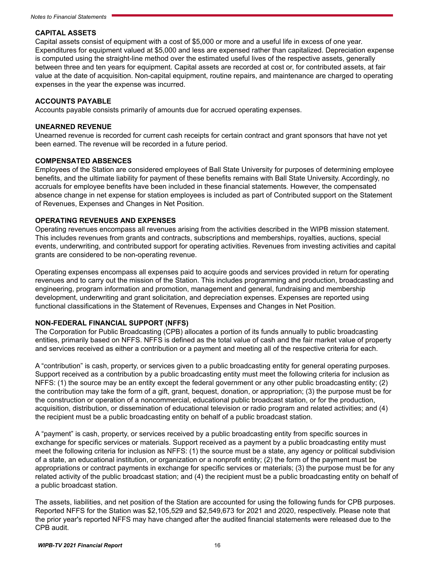#### **CAPITAL ASSETS**

Capital assets consist of equipment with a cost of \$5,000 or more and a useful life in excess of one year. Expenditures for equipment valued at \$5,000 and less are expensed rather than capitalized. Depreciation expense is computed using the straight-line method over the estimated useful lives of the respective assets, generally between three and ten years for equipment. Capital assets are recorded at cost or, for contributed assets, at fair value at the date of acquisition. Non-capital equipment, routine repairs, and maintenance are charged to operating expenses in the year the expense was incurred.

#### **ACCOUNTS PAYABLE**

Accounts payable consists primarily of amounts due for accrued operating expenses.

#### **UNEARNED REVENUE**

Unearned revenue is recorded for current cash receipts for certain contract and grant sponsors that have not yet been earned. The revenue will be recorded in a future period.

#### **COMPENSATED ABSENCES**

Employees of the Station are considered employees of Ball State University for purposes of determining employee benefits, and the ultimate liability for payment of these benefits remains with Ball State University. Accordingly, no accruals for employee benefits have been included in these financial statements. However, the compensated absence change in net expense for station employees is included as part of Contributed support on the Statement of Revenues, Expenses and Changes in Net Position.

#### **OPERATING REVENUES AND EXPENSES**

Operating revenues encompass all revenues arising from the activities described in the WIPB mission statement. This includes revenues from grants and contracts, subscriptions and memberships, royalties, auctions, special events, underwriting, and contributed support for operating activities. Revenues from investing activities and capital grants are considered to be non-operating revenue.

Operating expenses encompass all expenses paid to acquire goods and services provided in return for operating revenues and to carry out the mission of the Station. This includes programming and production, broadcasting and engineering, program information and promotion, management and general, fundraising and membership development, underwriting and grant solicitation, and depreciation expenses. Expenses are reported using functional classifications in the Statement of Revenues, Expenses and Changes in Net Position.

#### **NON-FEDERAL FINANCIAL SUPPORT (NFFS)**

The Corporation for Public Broadcasting (CPB) allocates a portion of its funds annually to public broadcasting entities, primarily based on NFFS. NFFS is defined as the total value of cash and the fair market value of property and services received as either a contribution or a payment and meeting all of the respective criteria for each.

A "contribution" is cash, property, or services given to a public broadcasting entity for general operating purposes. Support received as a contribution by a public broadcasting entity must meet the following criteria for inclusion as NFFS: (1) the source may be an entity except the federal government or any other public broadcasting entity; (2) the contribution may take the form of a gift, grant, bequest, donation, or appropriation; (3) the purpose must be for the construction or operation of a noncommercial, educational public broadcast station, or for the production, acquisition, distribution, or dissemination of educational television or radio program and related activities; and (4) the recipient must be a public broadcasting entity on behalf of a public broadcast station.

A "payment" is cash, property, or services received by a public broadcasting entity from specific sources in exchange for specific services or materials. Support received as a payment by a public broadcasting entity must meet the following criteria for inclusion as NFFS: (1) the source must be a state, any agency or political subdivision of a state, an educational institution, or organization or a nonprofit entity; (2) the form of the payment must be appropriations or contract payments in exchange for specific services or materials; (3) the purpose must be for any related activity of the public broadcast station; and (4) the recipient must be a public broadcasting entity on behalf of a public broadcast station.

The assets, liabilities, and net position of the Station are accounted for using the following funds for CPB purposes. Reported NFFS for the Station was \$2,105,529 and \$2,549,673 for 2021 and 2020, respectively. Please note that the prior year's reported NFFS may have changed after the audited financial statements were released due to the CPB audit.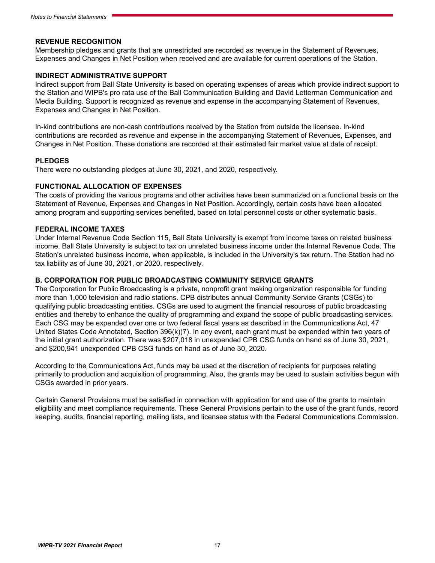#### **REVENUE RECOGNITION**

Membership pledges and grants that are unrestricted are recorded as revenue in the Statement of Revenues, Expenses and Changes in Net Position when received and are available for current operations of the Station.

#### **INDIRECT ADMINISTRATIVE SUPPORT**

Indirect support from Ball State University is based on operating expenses of areas which provide indirect support to the Station and WIPB's pro rata use of the Ball Communication Building and David Letterman Communication and Media Building. Support is recognized as revenue and expense in the accompanying Statement of Revenues, Expenses and Changes in Net Position.

In-kind contributions are non-cash contributions received by the Station from outside the licensee. In-kind contributions are recorded as revenue and expense in the accompanying Statement of Revenues, Expenses, and Changes in Net Position. These donations are recorded at their estimated fair market value at date of receipt.

#### **PLEDGES**

There were no outstanding pledges at June 30, 2021, and 2020, respectively.

#### **FUNCTIONAL ALLOCATION OF EXPENSES**

The costs of providing the various programs and other activities have been summarized on a functional basis on the Statement of Revenue, Expenses and Changes in Net Position. Accordingly, certain costs have been allocated among program and supporting services benefited, based on total personnel costs or other systematic basis.

#### **FEDERAL INCOME TAXES**

Under Internal Revenue Code Section 115, Ball State University is exempt from income taxes on related business income. Ball State University is subject to tax on unrelated business income under the Internal Revenue Code. The Station's unrelated business income, when applicable, is included in the University's tax return. The Station had no tax liability as of June 30, 2021, or 2020, respectively.

#### **B. CORPORATION FOR PUBLIC BROADCASTING COMMUNITY SERVICE GRANTS**

The Corporation for Public Broadcasting is a private, nonprofit grant making organization responsible for funding more than 1,000 television and radio stations. CPB distributes annual Community Service Grants (CSGs) to qualifying public broadcasting entities. CSGs are used to augment the financial resources of public broadcasting entities and thereby to enhance the quality of programming and expand the scope of public broadcasting services. Each CSG may be expended over one or two federal fiscal years as described in the Communications Act, 47 United States Code Annotated, Section 396(k)(7). In any event, each grant must be expended within two years of the initial grant authorization. There was \$207,018 in unexpended CPB CSG funds on hand as of June 30, 2021, and \$200,941 unexpended CPB CSG funds on hand as of June 30, 2020.

According to the Communications Act, funds may be used at the discretion of recipients for purposes relating primarily to production and acquisition of programming. Also, the grants may be used to sustain activities begun with CSGs awarded in prior years.

Certain General Provisions must be satisfied in connection with application for and use of the grants to maintain eligibility and meet compliance requirements. These General Provisions pertain to the use of the grant funds, record keeping, audits, financial reporting, mailing lists, and licensee status with the Federal Communications Commission.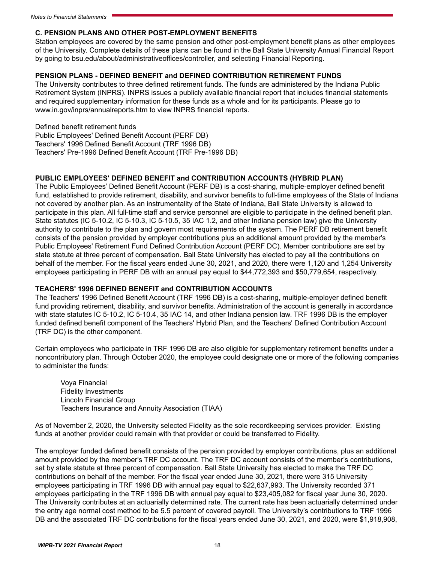#### **C. PENSION PLANS AND OTHER POST-EMPLOYMENT BENEFITS**

Station employees are covered by the same pension and other post-employment benefit plans as other employees of the University. Complete details of these plans can be found in the Ball State University Annual Financial Report by going to bsu.edu/about/administrativeoffices/controller, and selecting Financial Reporting.

#### **PENSION PLANS - DEFINED BENEFIT and DEFINED CONTRIBUTION RETIREMENT FUNDS**

The University contributes to three defined retirement funds. The funds are administered by the Indiana Public Retirement System (INPRS). INPRS issues a publicly available financial report that includes financial statements and required supplementary information for these funds as a whole and for its participants. Please go to [www.in.gov/inprs/annualreports.htm](http://www.in.gov/inprs/annualreports.htm) to view INPRS financial reports.

Defined benefit retirement funds

Public Employees' Defined Benefit Account (PERF DB) Teachers' 1996 Defined Benefit Account (TRF 1996 DB) Teachers' Pre-1996 Defined Benefit Account (TRF Pre-1996 DB)

#### **PUBLIC EMPLOYEES' DEFINED BENEFIT and CONTRIBUTION ACCOUNTS (HYBRID PLAN)**

The Public Employees' Defined Benefit Account (PERF DB) is a cost-sharing, multiple-employer defined benefit fund, established to provide retirement, disability, and survivor benefits to full-time employees of the State of Indiana not covered by another plan. As an instrumentality of the State of Indiana, Ball State University is allowed to participate in this plan. All full-time staff and service personnel are eligible to participate in the defined benefit plan. State statutes (IC 5-10.2, IC 5-10.3, IC 5-10.5, 35 IAC 1.2, and other Indiana pension law) give the University authority to contribute to the plan and govern most requirements of the system. The PERF DB retirement benefit consists of the pension provided by employer contributions plus an additional amount provided by the member's Public Employees' Retirement Fund Defined Contribution Account (PERF DC). Member contributions are set by state statute at three percent of compensation. Ball State University has elected to pay all the contributions on behalf of the member. For the fiscal years ended June 30, 2021, and 2020, there were 1,120 and 1,254 University employees participating in PERF DB with an annual pay equal to \$44,772,393 and \$50,779,654, respectively.

#### **TEACHERS' 1996 DEFINED BENEFIT and CONTRIBUTION ACCOUNTS**

The Teachers' 1996 Defined Benefit Account (TRF 1996 DB) is a cost-sharing, multiple-employer defined benefit fund providing retirement, disability, and survivor benefits. Administration of the account is generally in accordance with state statutes IC 5-10.2, IC 5-10.4, 35 IAC 14, and other Indiana pension law. TRF 1996 DB is the employer funded defined benefit component of the Teachers' Hybrid Plan, and the Teachers' Defined Contribution Account (TRF DC) is the other component.

Certain employees who participate in TRF 1996 DB are also eligible for supplementary retirement benefits under a noncontributory plan. Through October 2020, the employee could designate one or more of the following companies to administer the funds:

Voya Financial Fidelity Investments Lincoln Financial Group Teachers Insurance and Annuity Association (TIAA)

As of November 2, 2020, the University selected Fidelity as the sole recordkeeping services provider. Existing funds at another provider could remain with that provider or could be transferred to Fidelity.

The employer funded defined benefit consists of the pension provided by employer contributions, plus an additional amount provided by the member's TRF DC account. The TRF DC account consists of the member's contributions, set by state statute at three percent of compensation. Ball State University has elected to make the TRF DC contributions on behalf of the member. For the fiscal year ended June 30, 2021, there were 315 University employees participating in TRF 1996 DB with annual pay equal to \$22,637,993. The University recorded 371 employees participating in the TRF 1996 DB with annual pay equal to \$23,405,082 for fiscal year June 30, 2020. The University contributes at an actuarially determined rate. The current rate has been actuarially determined under the entry age normal cost method to be 5.5 percent of covered payroll. The University's contributions to TRF 1996 DB and the associated TRF DC contributions for the fiscal years ended June 30, 2021, and 2020, were \$1,918,908,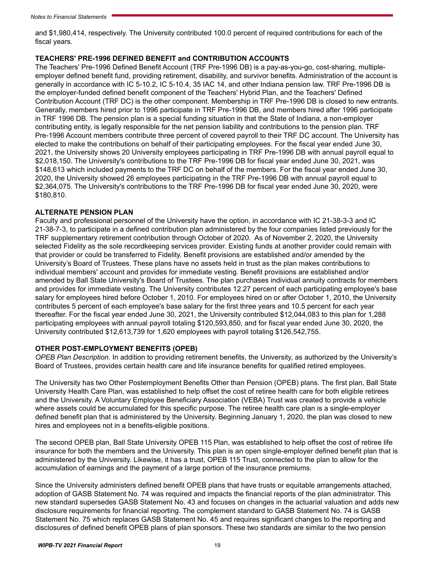and \$1,980,414, respectively. The University contributed 100.0 percent of required contributions for each of the fiscal years.

#### **TEACHERS' PRE-1996 DEFINED BENEFIT and CONTRIBUTION ACCOUNTS**

The Teachers' Pre-1996 Defined Benefit Account (TRF Pre-1996 DB) is a pay-as-you-go, cost-sharing, multipleemployer defined benefit fund, providing retirement, disability, and survivor benefits. Administration of the account is generally in accordance with IC 5-10.2, IC 5-10.4, 35 IAC 14, and other Indiana pension law. TRF Pre-1996 DB is the employer-funded defined benefit component of the Teachers' Hybrid Plan, and the Teachers' Defined Contribution Account (TRF DC) is the other component. Membership in TRF Pre-1996 DB is closed to new entrants. Generally, members hired prior to 1996 participate in TRF Pre-1996 DB, and members hired after 1996 participate in TRF 1996 DB. The pension plan is a special funding situation in that the State of Indiana, a non-employer contributing entity, is legally responsible for the net pension liability and contributions to the pension plan. TRF Pre-1996 Account members contribute three percent of covered payroll to their TRF DC account. The University has elected to make the contributions on behalf of their participating employees. For the fiscal year ended June 30, 2021, the University shows 20 University employees participating in TRF Pre-1996 DB with annual payroll equal to \$2,018,150. The University's contributions to the TRF Pre-1996 DB for fiscal year ended June 30, 2021, was \$148,613 which included payments to the TRF DC on behalf of the members. For the fiscal year ended June 30, 2020, the University showed 26 employees participating in the TRF Pre-1996 DB with annual payroll equal to \$2,364,075. The University's contributions to the TRF Pre-1996 DB for fiscal year ended June 30, 2020, were \$180,810.

#### **ALTERNATE PENSION PLAN**

Faculty and professional personnel of the University have the option, in accordance with IC 21-38-3-3 and IC 21-38-7-3, to participate in a defined contribution plan administered by the four companies listed previously for the TRF supplementary retirement contribution through October of 2020. As of November 2, 2020, the University selected Fidelity as the sole recordkeeping services provider. Existing funds at another provider could remain with that provider or could be transferred to Fidelity. Benefit provisions are established and/or amended by the University's Board of Trustees. These plans have no assets held in trust as the plan makes contributions to individual members' account and provides for immediate vesting. Benefit provisions are established and/or amended by Ball State University's Board of Trustees. The plan purchases individual annuity contracts for members and provides for immediate vesting. The University contributes 12.27 percent of each participating employee's base salary for employees hired before October 1, 2010. For employees hired on or after October 1, 2010, the University contributes 5 percent of each employee's base salary for the first three years and 10.5 percent for each year thereafter. For the fiscal year ended June 30, 2021, the University contributed \$12,044,083 to this plan for 1,288 participating employees with annual payroll totaling \$120,593,850, and for fiscal year ended June 30, 2020, the University contributed \$12,613,739 for 1,620 employees with payroll totaling \$126,542,755.

#### **OTHER POST-EMPLOYMENT BENEFITS (OPEB)**

*OPEB Plan Description.* In addition to providing retirement benefits, the University, as authorized by the University's Board of Trustees, provides certain health care and life insurance benefits for qualified retired employees.

The University has two Other Postemployment Benefits Other than Pension (OPEB) plans. The first plan, Ball State University Health Care Plan, was established to help offset the cost of retiree health care for both eligible retirees and the University. A Voluntary Employee Beneficiary Association (VEBA) Trust was created to provide a vehicle where assets could be accumulated for this specific purpose. The retiree health care plan is a single-employer defined benefit plan that is administered by the University. Beginning January 1, 2020, the plan was closed to new hires and employees not in a benefits-eligible positions.

The second OPEB plan, Ball State University OPEB 115 Plan, was established to help offset the cost of retiree life insurance for both the members and the University. This plan is an open single-employer defined benefit plan that is administered by the University. Likewise, it has a trust, OPEB 115 Trust, connected to the plan to allow for the accumulation of earnings and the payment of a large portion of the insurance premiums.

Since the University administers defined benefit OPEB plans that have trusts or equitable arrangements attached, adoption of GASB Statement No. 74 was required and impacts the financial reports of the plan administrator. This new standard supersedes GASB Statement No. 43 and focuses on changes in the actuarial valuation and adds new disclosure requirements for financial reporting. The complement standard to GASB Statement No. 74 is GASB Statement No. 75 which replaces GASB Statement No. 45 and requires significant changes to the reporting and disclosures of defined benefit OPEB plans of plan sponsors. These two standards are similar to the two pension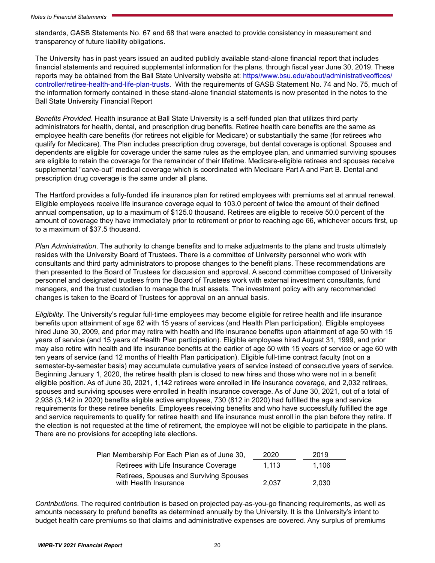standards, GASB Statements No. 67 and 68 that were enacted to provide consistency in measurement and transparency of future liability obligations.

The University has in past years issued an audited publicly available stand-alone financial report that includes financial statements and required supplemental information for the plans, through fiscal year June 30, 2019. These reports may be obtained from the Ball State University website at: [https//www.bsu.edu/about/administrativeoffices/](https://www.bsu.edu/about/administrativeoffices/controller/retiree-health-and-life-plan-trusts) [controller/retiree-health-and-life-plan-trusts](https://www.bsu.edu/about/administrativeoffices/controller/retiree-health-and-life-plan-trusts). With the requirements of GASB Statement No. 74 and No. 75, much of the information formerly contained in these stand-alone financial statements is now presented in the notes to the Ball State University Financial Report

*Benefits Provided*. Health insurance at Ball State University is a self-funded plan that utilizes third party administrators for health, dental, and prescription drug benefits. Retiree health care benefits are the same as employee health care benefits (for retirees not eligible for Medicare) or substantially the same (for retirees who qualify for Medicare). The Plan includes prescription drug coverage, but dental coverage is optional. Spouses and dependents are eligible for coverage under the same rules as the employee plan, and unmarried surviving spouses are eligible to retain the coverage for the remainder of their lifetime. Medicare-eligible retirees and spouses receive supplemental "carve-out" medical coverage which is coordinated with Medicare Part A and Part B. Dental and prescription drug coverage is the same under all plans.

The Hartford provides a fully-funded life insurance plan for retired employees with premiums set at annual renewal. Eligible employees receive life insurance coverage equal to 103.0 percent of twice the amount of their defined annual compensation, up to a maximum of \$125.0 thousand. Retirees are eligible to receive 50.0 percent of the amount of coverage they have immediately prior to retirement or prior to reaching age 66, whichever occurs first, up to a maximum of \$37.5 thousand.

*Plan Administration*. The authority to change benefits and to make adjustments to the plans and trusts ultimately resides with the University Board of Trustees. There is a committee of University personnel who work with consultants and third party administrators to propose changes to the benefit plans. These recommendations are then presented to the Board of Trustees for discussion and approval. A second committee composed of University personnel and designated trustees from the Board of Trustees work with external investment consultants, fund managers, and the trust custodian to manage the trust assets. The investment policy with any recommended changes is taken to the Board of Trustees for approval on an annual basis.

*Eligibility*. The University's regular full-time employees may become eligible for retiree health and life insurance benefits upon attainment of age 62 with 15 years of services (and Health Plan participation). Eligible employees hired June 30, 2009, and prior may retire with health and life insurance benefits upon attainment of age 50 with 15 years of service (and 15 years of Health Plan participation). Eligible employees hired August 31, 1999, and prior may also retire with health and life insurance benefits at the earlier of age 50 with 15 years of service or age 60 with ten years of service (and 12 months of Health Plan participation). Eligible full-time contract faculty (not on a semester-by-semester basis) may accumulate cumulative years of service instead of consecutive years of service. Beginning January 1, 2020, the retiree health plan is closed to new hires and those who were not in a benefit eligible position. As of June 30, 2021, 1,142 retirees were enrolled in life insurance coverage, and 2,032 retirees, spouses and surviving spouses were enrolled in health insurance coverage. As of June 30, 2021, out of a total of 2,938 (3,142 in 2020) benefits eligible active employees, 730 (812 in 2020) had fulfilled the age and service requirements for these retiree benefits. Employees receiving benefits and who have successfully fulfilled the age and service requirements to qualify for retiree health and life insurance must enroll in the plan before they retire. If the election is not requested at the time of retirement, the employee will not be eligible to participate in the plans. There are no provisions for accepting late elections.

| Plan Membership For Each Plan as of June 30,                     | 2020  | 2019  |
|------------------------------------------------------------------|-------|-------|
| Retirees with Life Insurance Coverage                            | 1.113 | 1.106 |
| Retirees, Spouses and Surviving Spouses<br>with Health Insurance | 2.037 | 2.030 |

*Contributions*. The required contribution is based on projected pay-as-you-go financing requirements, as well as amounts necessary to prefund benefits as determined annually by the University. It is the University's intent to budget health care premiums so that claims and administrative expenses are covered. Any surplus of premiums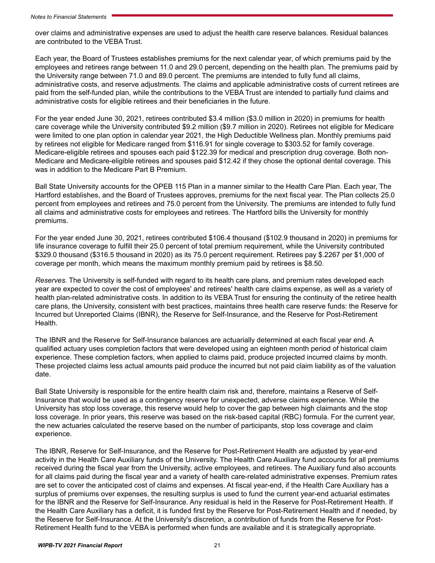over claims and administrative expenses are used to adjust the health care reserve balances. Residual balances are contributed to the VEBA Trust.

Each year, the Board of Trustees establishes premiums for the next calendar year, of which premiums paid by the employees and retirees range between 11.0 and 29.0 percent, depending on the health plan. The premiums paid by the University range between 71.0 and 89.0 percent. The premiums are intended to fully fund all claims, administrative costs, and reserve adjustments. The claims and applicable administrative costs of current retirees are paid from the self-funded plan, while the contributions to the VEBA Trust are intended to partially fund claims and administrative costs for eligible retirees and their beneficiaries in the future.

For the year ended June 30, 2021, retirees contributed \$3.4 million (\$3.0 million in 2020) in premiums for health care coverage while the University contributed \$9.2 million (\$9.7 million in 2020). Retirees not eligible for Medicare were limited to one plan option in calendar year 2021, the High Deductible Wellness plan. Monthly premiums paid by retirees not eligible for Medicare ranged from \$116.91 for single coverage to \$303.52 for family coverage. Medicare-eligible retirees and spouses each paid \$122.39 for medical and prescription drug coverage. Both non-Medicare and Medicare-eligible retirees and spouses paid \$12.42 if they chose the optional dental coverage. This was in addition to the Medicare Part B Premium.

Ball State University accounts for the OPEB 115 Plan in a manner similar to the Health Care Plan. Each year, The Hartford establishes, and the Board of Trustees approves, premiums for the next fiscal year. The Plan collects 25.0 percent from employees and retirees and 75.0 percent from the University. The premiums are intended to fully fund all claims and administrative costs for employees and retirees. The Hartford bills the University for monthly premiums.

For the year ended June 30, 2021, retirees contributed \$106.4 thousand (\$102.9 thousand in 2020) in premiums for life insurance coverage to fulfill their 25.0 percent of total premium requirement, while the University contributed \$329.0 thousand (\$316.5 thousand in 2020) as its 75.0 percent requirement. Retirees pay \$.2267 per \$1,000 of coverage per month, which means the maximum monthly premium paid by retirees is \$8.50.

*Reserves.* The University is self-funded with regard to its health care plans, and premium rates developed each year are expected to cover the cost of employees' and retirees' health care claims expense, as well as a variety of health plan-related administrative costs. In addition to its VEBA Trust for ensuring the continuity of the retiree health care plans, the University, consistent with best practices, maintains three health care reserve funds: the Reserve for Incurred but Unreported Claims (IBNR), the Reserve for Self-Insurance, and the Reserve for Post-Retirement Health.

The IBNR and the Reserve for Self-Insurance balances are actuarially determined at each fiscal year end. A qualified actuary uses completion factors that were developed using an eighteen month period of historical claim experience. These completion factors, when applied to claims paid, produce projected incurred claims by month. These projected claims less actual amounts paid produce the incurred but not paid claim liability as of the valuation date.

Ball State University is responsible for the entire health claim risk and, therefore, maintains a Reserve of Self-Insurance that would be used as a contingency reserve for unexpected, adverse claims experience. While the University has stop loss coverage, this reserve would help to cover the gap between high claimants and the stop loss coverage. In prior years, this reserve was based on the risk-based capital (RBC) formula. For the current year, the new actuaries calculated the reserve based on the number of participants, stop loss coverage and claim experience.

The IBNR, Reserve for Self-Insurance, and the Reserve for Post-Retirement Health are adjusted by year-end activity in the Health Care Auxiliary funds of the University. The Health Care Auxiliary fund accounts for all premiums received during the fiscal year from the University, active employees, and retirees. The Auxiliary fund also accounts for all claims paid during the fiscal year and a variety of health care-related administrative expenses. Premium rates are set to cover the anticipated cost of claims and expenses. At fiscal year-end, if the Health Care Auxiliary has a surplus of premiums over expenses, the resulting surplus is used to fund the current year-end actuarial estimates for the IBNR and the Reserve for Self-Insurance. Any residual is held in the Reserve for Post-Retirement Health. If the Health Care Auxiliary has a deficit, it is funded first by the Reserve for Post-Retirement Health and if needed, by the Reserve for Self-Insurance. At the University's discretion, a contribution of funds from the Reserve for Post-Retirement Health fund to the VEBA is performed when funds are available and it is strategically appropriate.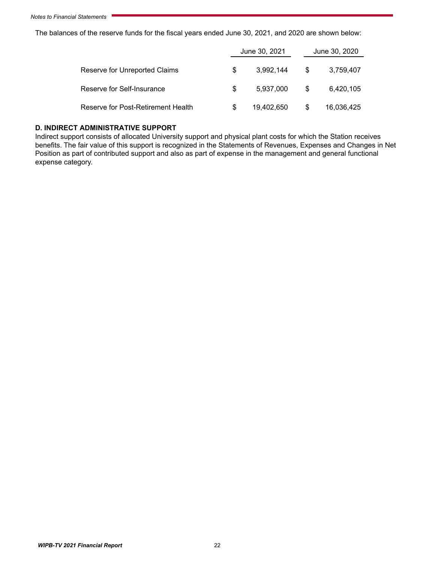The balances of the reserve funds for the fiscal years ended June 30, 2021, and 2020 are shown below:

|                                    |     | June 30, 2021 | June 30, 2020 |            |  |
|------------------------------------|-----|---------------|---------------|------------|--|
| Reserve for Unreported Claims      | S   | 3.992.144     | S             | 3,759,407  |  |
| Reserve for Self-Insurance         | \$. | 5.937.000     | S             | 6,420,105  |  |
| Reserve for Post-Retirement Health | S   | 19,402,650    | \$            | 16,036,425 |  |

#### **D. INDIRECT ADMINISTRATIVE SUPPORT**

Indirect support consists of allocated University support and physical plant costs for which the Station receives benefits. The fair value of this support is recognized in the Statements of Revenues, Expenses and Changes in Net Position as part of contributed support and also as part of expense in the management and general functional expense category.